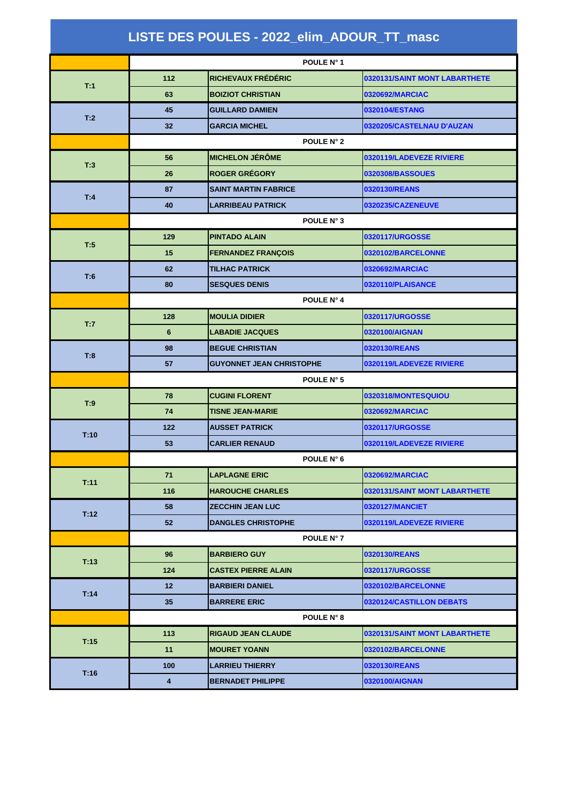|      | POULE N° 8 |                           |                               |
|------|------------|---------------------------|-------------------------------|
| T:15 | 113        | <b>RIGAUD JEAN CLAUDE</b> | 0320131/SAINT MONT LABARTHETE |
|      | 11         | <b>IMOURET YOANN</b>      | 0320102/BARCELONNE            |
| T:16 | 100        | <b>LARRIEU THIERRY</b>    | 0320130/REANS                 |
|      | 4          | <b>BERNADET PHILIPPE</b>  | 0320100/AIGNAN                |

| LISTE DES POULES - 2022_elim_ADOUR_TT_masc |                 |                                 |                               |
|--------------------------------------------|-----------------|---------------------------------|-------------------------------|
|                                            |                 | POULE N° 1                      |                               |
|                                            | 112             | <b>RICHEVAUX FRÉDÉRIC</b>       | 0320131/SAINT MONT LABARTHETE |
| T:1                                        | 63              | <b>BOIZIOT CHRISTIAN</b>        | 0320692/MARCIAC               |
|                                            | 45              | <b>GUILLARD DAMIEN</b>          | 0320104/ESTANG                |
| T:2                                        | 32              | <b>GARCIA MICHEL</b>            | 0320205/CASTELNAU D'AUZAN     |
|                                            | POULE N° 2      |                                 |                               |
| T:3                                        | 56              | <b>MICHELON JÉRÔME</b>          | 0320119/LADEVEZE RIVIERE      |
|                                            | 26              | <b>ROGER GRÉGORY</b>            | <b>0320308/BASSOUES</b>       |
| T:4                                        | 87              | <b>SAINT MARTIN FABRICE</b>     | 0320130/REANS                 |
|                                            | 40              | <b>LARRIBEAU PATRICK</b>        | 0320235/CAZENEUVE             |
|                                            | POULE N° 3      |                                 |                               |
| T:5                                        | 129             | <b>PINTADO ALAIN</b>            | 0320117/URGOSSE               |
|                                            | 15              | <b>FERNANDEZ FRANÇOIS</b>       | 0320102/BARCELONNE            |
| T:6                                        | 62              | <b>TILHAC PATRICK</b>           | 0320692/MARCIAC               |
|                                            | 80              | <b>SESQUES DENIS</b>            | 0320110/PLAISANCE             |
|                                            | POULE N° 4      |                                 |                               |
| T:7                                        | 128             | <b>MOULIA DIDIER</b>            | 0320117/URGOSSE               |
|                                            | $6\phantom{1}6$ | <b>LABADIE JACQUES</b>          | 0320100/AIGNAN                |
| T:8                                        | 98              | <b>BEGUE CHRISTIAN</b>          | 0320130/REANS                 |
|                                            | 57              | <b>GUYONNET JEAN CHRISTOPHE</b> | 0320119/LADEVEZE RIVIERE      |
|                                            |                 | POULE N° 5                      |                               |
| T:9                                        | 78              | <b>CUGINI FLORENT</b>           | 0320318/MONTESQUIOU           |
|                                            | 74              | <b>TISNE JEAN-MARIE</b>         | 0320692/MARCIAC               |
| T:10                                       | $122$           | <b>AUSSET PATRICK</b>           | 0320117/URGOSSE               |
|                                            | 53              | <b>CARLIER RENAUD</b>           | 0320119/LADEVEZE RIVIERE      |
|                                            | POULE N° 6      |                                 |                               |
| T:11                                       | 71              | <b>LAPLAGNE ERIC</b>            | 0320692/MARCIAC               |
|                                            | 116             | <b>HAROUCHE CHARLES</b>         | 0320131/SAINT MONT LABARTHETE |
| T:12                                       | 58              | <b>ZECCHIN JEAN LUC</b>         | <b>0320127/MANCIET</b>        |
|                                            | 52              | <b>DANGLES CHRISTOPHE</b>       | 0320119/LADEVEZE RIVIERE      |
|                                            | POULE N° 7      |                                 |                               |
| T:13                                       | 96              | <b>BARBIERO GUY</b>             | 0320130/REANS                 |
|                                            | 124             | <b>CASTEX PIERRE ALAIN</b>      | 0320117/URGOSSE               |
| T:14                                       | 12              | <b>BARBIERI DANIEL</b>          | 0320102/BARCELONNE            |
|                                            | 35              | <b>BARRERE ERIC</b>             | 0320124/CASTILLON DEBATS      |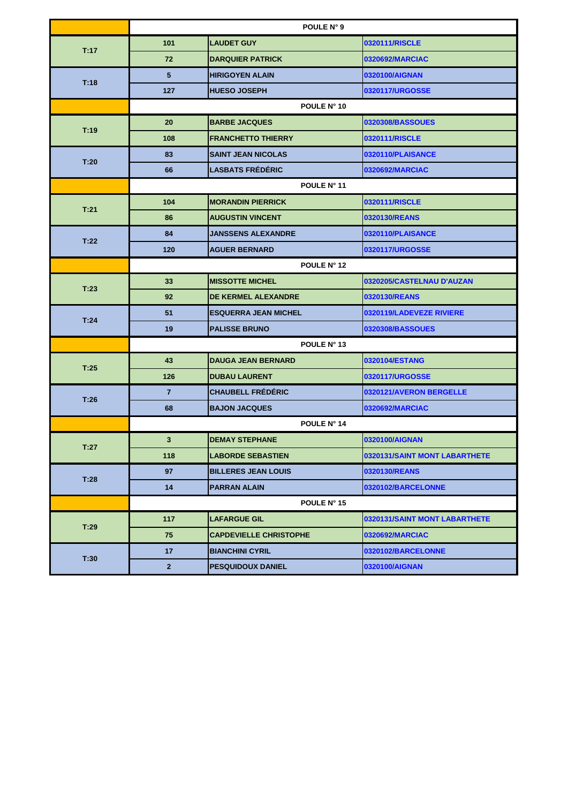|      | POULE N° 9     |                               |                               |
|------|----------------|-------------------------------|-------------------------------|
| T:17 | 101            | <b>LAUDET GUY</b>             | 0320111/RISCLE                |
|      | 72             | <b>DARQUIER PATRICK</b>       | 0320692/MARCIAC               |
|      | $5\phantom{1}$ | <b>HIRIGOYEN ALAIN</b>        | 0320100/AIGNAN                |
| T:18 | 127            | <b>HUESO JOSEPH</b>           | 0320117/URGOSSE               |
|      |                | POULE N° 10                   |                               |
| T:19 | 20             | <b>BARBE JACQUES</b>          | 0320308/BASSOUES              |
|      | 108            | <b>FRANCHETTO THIERRY</b>     | 0320111/RISCLE                |
| T:20 | 83             | <b>SAINT JEAN NICOLAS</b>     | 0320110/PLAISANCE             |
|      | 66             | <b>LASBATS FRÉDÉRIC</b>       | 0320692/MARCIAC               |
|      | POULE N° 11    |                               |                               |
| T:21 | 104            | <b>MORANDIN PIERRICK</b>      | 0320111/RISCLE                |
|      | 86             | <b>AUGUSTIN VINCENT</b>       | 0320130/REANS                 |
| T:22 | 84             | <b>JANSSENS ALEXANDRE</b>     | 0320110/PLAISANCE             |
|      | 120            | <b>AGUER BERNARD</b>          | 0320117/URGOSSE               |
|      | POULE N° 12    |                               |                               |
| T:23 | 33             | <b>MISSOTTE MICHEL</b>        | 0320205/CASTELNAU D'AUZAN     |
|      | 92             | <b>DE KERMEL ALEXANDRE</b>    | 0320130/REANS                 |
| T:24 | 51             | <b>ESQUERRA JEAN MICHEL</b>   | 0320119/LADEVEZE RIVIERE      |
|      | 19             | <b>PALISSE BRUNO</b>          | 0320308/BASSOUES              |
|      | POULE N° 13    |                               |                               |
| T:25 | 43             | <b>DAUGA JEAN BERNARD</b>     | 0320104/ESTANG                |
|      | 126            | <b>DUBAU LAURENT</b>          | 0320117/URGOSSE               |
| T:26 | $\overline{7}$ | <b>CHAUBELL FRÉDÉRIC</b>      | 0320121/AVERON BERGELLE       |
|      | 68             | <b>BAJON JACQUES</b>          | 0320692/MARCIAC               |
|      |                | POULE N° 14                   |                               |
| T:27 | $\mathbf{3}$   | <b>DEMAY STEPHANE</b>         | 0320100/AIGNAN                |
|      | 118            | <b>LABORDE SEBASTIEN</b>      | 0320131/SAINT MONT LABARTHETE |
| T:28 | 97             | <b>BILLERES JEAN LOUIS</b>    | 0320130/REANS                 |
|      | 14             | <b>PARRAN ALAIN</b>           | 0320102/BARCELONNE            |
|      |                | POULE N° 15                   |                               |
| T:29 | 117            | <b>LAFARGUE GIL</b>           | 0320131/SAINT MONT LABARTHETE |
|      | 75             | <b>CAPDEVIELLE CHRISTOPHE</b> | 0320692/MARCIAC               |
| T:30 | 17             | <b>BIANCHINI CYRIL</b>        | 0320102/BARCELONNE            |
|      | $\mathbf{2}$   | <b>PESQUIDOUX DANIEL</b>      | 0320100/AIGNAN                |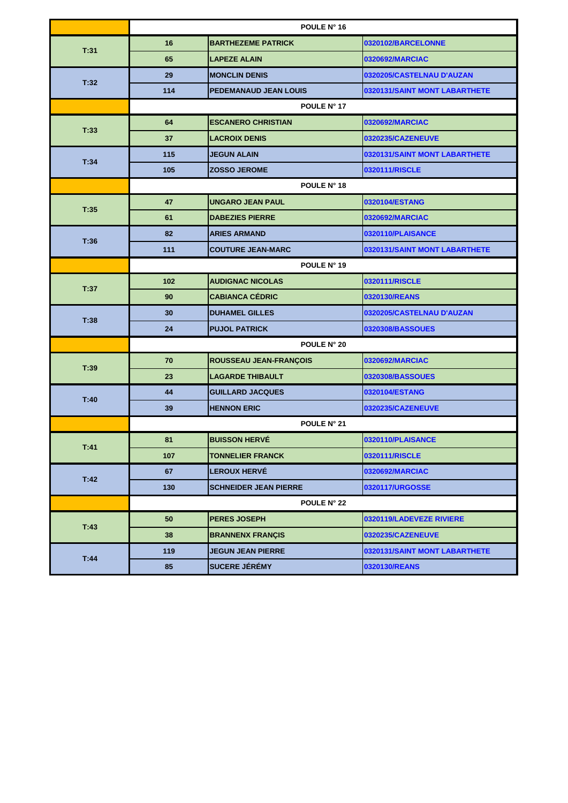|      | POULE N° 16        |                               |                               |
|------|--------------------|-------------------------------|-------------------------------|
| T:31 | 16                 | <b>BARTHEZEME PATRICK</b>     | 0320102/BARCELONNE            |
|      | 65                 | <b>LAPEZE ALAIN</b>           | 0320692/MARCIAC               |
| T:32 | 29                 | <b>MONCLIN DENIS</b>          | 0320205/CASTELNAU D'AUZAN     |
|      | 114                | <b>PEDEMANAUD JEAN LOUIS</b>  | 0320131/SAINT MONT LABARTHETE |
|      |                    | POULE N° 17                   |                               |
| T:33 | 64                 | <b>ESCANERO CHRISTIAN</b>     | 0320692/MARCIAC               |
|      | 37                 | <b>LACROIX DENIS</b>          | 0320235/CAZENEUVE             |
| T:34 | 115                | <b>JEGUN ALAIN</b>            | 0320131/SAINT MONT LABARTHETE |
|      | 105                | <b>ZOSSO JEROME</b>           | 0320111/RISCLE                |
|      | POULE N° 18        |                               |                               |
| T:35 | 47                 | <b>UNGARO JEAN PAUL</b>       | 0320104/ESTANG                |
|      | 61                 | <b>DABEZIES PIERRE</b>        | 0320692/MARCIAC               |
| T:36 | 82                 | <b>ARIES ARMAND</b>           | 0320110/PLAISANCE             |
|      | 111                | <b>COUTURE JEAN-MARC</b>      | 0320131/SAINT MONT LABARTHETE |
|      | POULE N° 19        |                               |                               |
| T:37 | 102                | <b>AUDIGNAC NICOLAS</b>       | 0320111/RISCLE                |
|      | 90                 | <b>CABIANCA CÉDRIC</b>        | 0320130/REANS                 |
| T:38 | 30                 | <b>DUHAMEL GILLES</b>         | 0320205/CASTELNAU D'AUZAN     |
|      | 24                 | <b>PUJOL PATRICK</b>          | 0320308/BASSOUES              |
|      | <b>POULE N° 20</b> |                               |                               |
| T:39 | 70                 | <b>ROUSSEAU JEAN-FRANÇOIS</b> | 0320692/MARCIAC               |
|      | 23                 | <b>LAGARDE THIBAULT</b>       | 0320308/BASSOUES              |
| T:40 | 44                 | <b>GUILLARD JACQUES</b>       | 0320104/ESTANG                |
|      | 39                 | <b>HENNON ERIC</b>            | 0320235/CAZENEUVE             |
|      | POULE N° 21        |                               |                               |
| T:41 | 81                 | <b>BUISSON HERVÉ</b>          | 0320110/PLAISANCE             |
|      | 107                | <b>TONNELIER FRANCK</b>       | 0320111/RISCLE                |
| T:42 | 67                 | <b>LEROUX HERVÉ</b>           | 0320692/MARCIAC               |
|      | 130                | <b>SCHNEIDER JEAN PIERRE</b>  | 0320117/URGOSSE               |
|      | <b>POULE N° 22</b> |                               |                               |
| T:43 | 50                 | <b>PERES JOSEPH</b>           | 0320119/LADEVEZE RIVIERE      |
|      | 38                 | <b>BRANNENX FRANÇIS</b>       | 0320235/CAZENEUVE             |
| T:44 | 119                | <b>JEGUN JEAN PIERRE</b>      | 0320131/SAINT MONT LABARTHETE |
|      | 85                 | <b>SUCERE JÉRÉMY</b>          | 0320130/REANS                 |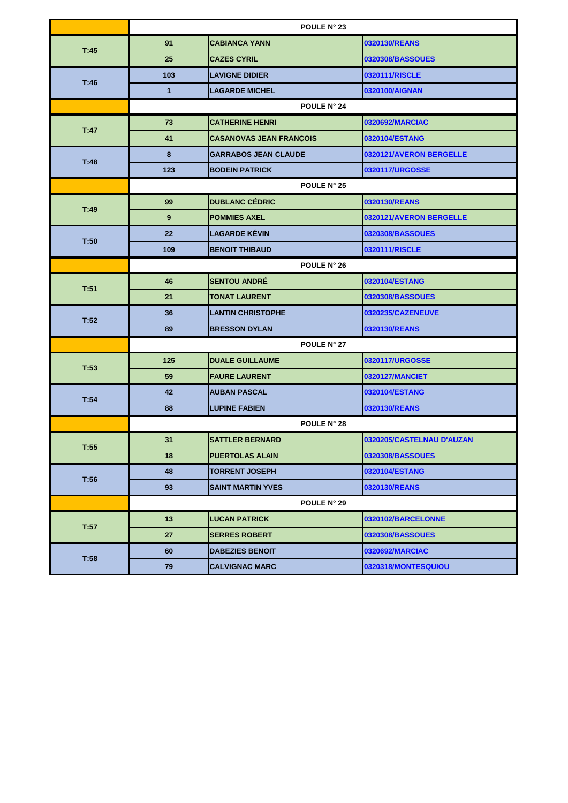|      | POULE N° 23      |                                |                           |
|------|------------------|--------------------------------|---------------------------|
| T:45 | 91               | <b>CABIANCA YANN</b>           | 0320130/REANS             |
|      | 25               | <b>CAZES CYRIL</b>             | 0320308/BASSOUES          |
| T:46 | 103              | <b>LAVIGNE DIDIER</b>          | 0320111/RISCLE            |
|      | $\mathbf{1}$     | <b>LAGARDE MICHEL</b>          | 0320100/AIGNAN            |
|      |                  | POULE N° 24                    |                           |
| T:47 | 73               | <b>CATHERINE HENRI</b>         | 0320692/MARCIAC           |
|      | 41               | <b>CASANOVAS JEAN FRANÇOIS</b> | 0320104/ESTANG            |
| T:48 | 8                | <b>GARRABOS JEAN CLAUDE</b>    | 0320121/AVERON BERGELLE   |
|      | 123              | <b>BODEIN PATRICK</b>          | 0320117/URGOSSE           |
|      | POULE N° 25      |                                |                           |
| T:49 | 99               | <b>DUBLANC CÉDRIC</b>          | 0320130/REANS             |
|      | $\boldsymbol{9}$ | <b>POMMIES AXEL</b>            | 0320121/AVERON BERGELLE   |
| T:50 | 22               | <b>LAGARDE KÉVIN</b>           | 0320308/BASSOUES          |
|      | 109              | <b>BENOIT THIBAUD</b>          | 0320111/RISCLE            |
|      | POULE N° 26      |                                |                           |
| T:51 | 46               | <b>SENTOU ANDRÉ</b>            | 0320104/ESTANG            |
|      | 21               | <b>TONAT LAURENT</b>           | 0320308/BASSOUES          |
| T:52 | 36               | <b>LANTIN CHRISTOPHE</b>       | 0320235/CAZENEUVE         |
|      | 89               | <b>BRESSON DYLAN</b>           | 0320130/REANS             |
|      | POULE N° 27      |                                |                           |
| T:53 | 125              | <b>DUALE GUILLAUME</b>         | 0320117/URGOSSE           |
|      | 59               | <b>FAURE LAURENT</b>           | <b>0320127/MANCIET</b>    |
| T:54 | 42               | <b>AUBAN PASCAL</b>            | 0320104/ESTANG            |
|      | 88               | <b>LUPINE FABIEN</b>           | 0320130/REANS             |
|      | POULE N° 28      |                                |                           |
| T:55 | 31               | <b>SATTLER BERNARD</b>         | 0320205/CASTELNAU D'AUZAN |
|      | 18               | <b>PUERTOLAS ALAIN</b>         | 0320308/BASSOUES          |
| T:56 | 48               | <b>TORRENT JOSEPH</b>          | 0320104/ESTANG            |
|      | 93               | <b>SAINT MARTIN YVES</b>       | 0320130/REANS             |
|      | POULE N° 29      |                                |                           |
| T:57 | 13               | <b>LUCAN PATRICK</b>           | 0320102/BARCELONNE        |
|      | 27               | <b>SERRES ROBERT</b>           | 0320308/BASSOUES          |
| T:58 | 60               | <b>DABEZIES BENOIT</b>         | 0320692/MARCIAC           |
|      | 79               | <b>CALVIGNAC MARC</b>          | 0320318/MONTESQUIOU       |